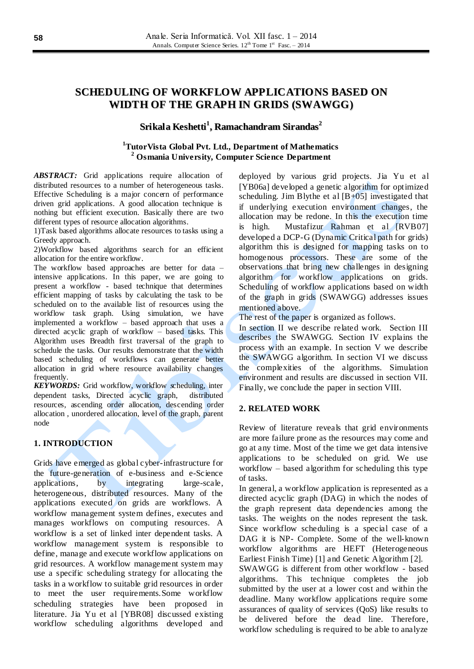# **SCHEDULING OF WORKFLOW APPLICATIONS BASED ON WIDTH OF THE GRAPH IN GRIDS (SWAWGG)**

# **Srikala Keshetti 1 , Ramachandram Sirandas 2**

# **<sup>1</sup>TutorVista Global Pvt. Ltd., Department of Mathematics <sup>2</sup> Osmania University, Computer Science Department**

*ABSTRACT:* Grid applications require allocation of distributed resources to a number of heterogeneous tasks. Effective Scheduling is a major concern of performance driven grid applications. A good allocation technique is nothing but efficient execution. Basically there are two different types of resource allocation algorithms.

1)Task based algorithms allocate resources to tasks using a Greedy approach.

2)Workflow based algorithms search for an efficient allocation for the entire workflow.

The workflow based approaches are better for data – intensive applications. In this paper, we are going to present a workflow - based technique that determines efficient mapping of tasks by calculating the task to be scheduled on to the available list of resources using the workflow task graph. Using simulation, we have implemented a workflow – based approach that uses a directed acyclic graph of workflow – based tasks. This Algorithm uses Breadth first traversal of the graph to schedule the tasks. Our results demonstrate that the width based scheduling of workflows can generate better allocation in grid where resource availability changes frequently.

*KEYWORDS:* Grid workflow, workflow *s*cheduling, inter dependent tasks, Directed acyclic graph, distributed resources, ascending order allocation, descending order allocation , unordered allocation, level of the graph, parent node

## **1. INTRODUCTION**

Grids have emerged as global cyber-infrastructure for the future-generation of e-business and e-Science applications, by integrating large-scale, heterogeneous, distributed resources. Many of the applications executed on grids are workflows. A workflow management system defines, executes and manages workflows on computing resources. A workflow is a set of linked inter dependent tasks. A workflow management system is responsible to define, manage and execute workflow applications on grid resources. A workflow management system may use a specific scheduling strategy for allocating the tasks in a workflow to suitable grid resources in order to meet the user requirements.Some workflow scheduling strategies have been proposed in literature. Jia Yu et al [YBR08] discussed existing workflow scheduling algorithms developed and

deployed by various grid projects. Jia Yu et al [YB06a] developed a genetic algorithm for optimized scheduling. Jim Blythe et al  $[B+0.5]$  investigated that if underlying execution environment changes, the allocation may be redone. In this the execution time is high. Mustafizur Rahman et al [RVB07] developed a DCP-G (Dynamic Critical path for grids) algorithm this is designed for mapping tasks on to homogenous processors. These are some of the observations that bring new challenges in designing algorithm for workflow applications on grids. Scheduling of workflow applications based on width of the graph in grids (SWAWGG) addresses issues mentioned above.

The rest of the paper is organized as follows.

In section II we describe related work. Section III describes the SWAWGG. Section IV explains the process with an example. In section V we describe the SWAWGG algorithm. In section VI we discuss the complexities of the algorithms. Simulation environment and results are discussed in section VII. Finally, we conclude the paper in section VIII.

#### **2. RELATED WORK**

Review of literature reveals that grid environments are more failure prone as the resources may come and go at any time. Most of the time we get data intensive applications to be scheduled on grid. We use workflow – based algorithm for scheduling this type of tasks.

In general, a workflow application is represented as a directed acyclic graph (DAG) in which the nodes of the graph represent data dependencies among the tasks. The weights on the nodes represent the task. Since workflow scheduling is a special case of a DAG it is NP- Complete. Some of the well-known workflow algorithms are HEFT (Heterogeneous Earliest Finish Time) [1] and Genetic Algorithm [2]. SWAWGG is different from other workflow - based algorithms. This technique completes the job submitted by the user at a lower cost and within the deadline. Many workflow applications require some assurances of quality of services (QoS) like results to be delivered before the dead line. Therefore, workflow scheduling is required to be able to analyze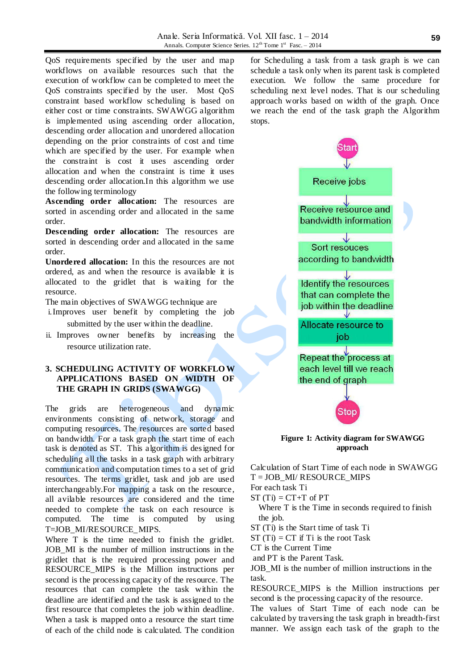QoS requirements specified by the user and map workflows on available resources such that the execution of workflow can be completed to meet the QoS constraints specified by the user. Most QoS constraint based workflow scheduling is based on either cost or time constraints. SWAWGG algorithm is implemented using ascending order allocation, descending order allocation and unordered allocation depending on the prior constraints of cost and time which are specified by the user. For example when the constraint is cost it uses ascending order allocation and when the constraint is time it uses descending order allocation.In this algorithm we use the following terminology

**Ascending order allocation:** The resources are sorted in ascending order and allocated in the same order.

**Descending order allocation:** The resources are sorted in descending order and allocated in the same order.

**Unordered allocation:** In this the resources are not ordered, as and when the resource is available it is allocated to the gridlet that is waiting for the resource.

The main objectives of SWAWGG technique are

i.Improves user benefit by completing the job submitted by the user within the deadline.

ii. Improves owner benefits by increasing the resource utilization rate.

# **3. SCHEDULING ACTIVITY OF WORKFLO W APPLICATIONS BASED ON WIDTH OF THE GRAPH IN GRIDS (SWAWGG)**

The grids are heterogeneous and dynamic environments consisting of network, storage and computing resources. The resources are sorted based on bandwidth. For a task graph the start time of each task is denoted as ST. This algorithm is designed for scheduling all the tasks in a task graph with arbitrary communication and computation times to a set of grid resources. The terms gridlet, task and job are used interchangeably.For mapping a task on the resource, all avilable resources are considered and the time needed to complete the task on each resource is computed. The time is computed by using T=JOB\_MI/RESOURCE\_MIPS.

Where T is the time needed to finish the gridlet. JOB\_MI is the number of million instructions in the gridlet that is the required processing power and RESOURCE\_MIPS is the Million instructions per second is the processing capacity of the resource. The resources that can complete the task within the deadline are identified and the task is assigned to the first resource that completes the job within deadline. When a task is mapped onto a resource the start time of each of the child node is calculated. The condition

for Scheduling a task from a task graph is we can schedule a task only when its parent task is completed execution. We follow the same procedure for scheduling next level nodes. That is our scheduling approach works based on width of the graph. Once we reach the end of the task graph the Algorithm stops.



**Figure 1: Activity diagram for SWAWGG approach**

Calculation of Start Time of each node in SWAWGG T = JOB\_MI/ RESOURCE\_MIPS

For each task Ti

 $ST(Ti) = CT+T$  of PT

Where T is the Time in seconds required to finish the job.

ST (Ti) is the Start time of task Ti

 $ST(Ti) = CT$  if Ti is the root Task

CT is the Current Time

and PT is the Parent Task.

JOB\_MI is the number of million instructions in the task.

RESOURCE MIPS is the Million instructions per second is the processing capacity of the resource.

The values of Start Time of each node can be calculated by traversing the task graph in breadth-first manner. We assign each task of the graph to the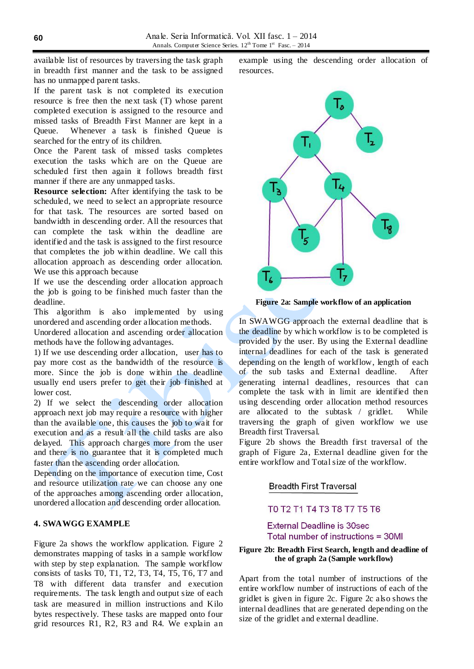available list of resources by traversing the task graph in breadth first manner and the task to be assigned has no unmapped parent tasks.

If the parent task is not completed its execution resource is free then the next task (T) whose parent completed execution is assigned to the resource and missed tasks of Breadth First Manner are kept in a Queue. Whenever a task is finished Queue is searched for the entry of its children.

Once the Parent task of missed tasks completes execution the tasks which are on the Queue are scheduled first then again it follows breadth first manner if there are any unmapped tasks.

**Resource selection:** After identifying the task to be scheduled, we need to se lect an appropriate resource for that task. The resources are sorted based on bandwidth in descending order. All the resources that can complete the task within the deadline are identified and the task is assigned to the first resource that completes the job within deadline. We call this allocation approach as descending order allocation. We use this approach because

If we use the descending order allocation approach the job is going to be finished much faster than the deadline.

This algorithm is also implemented by using unordered and ascending order allocation methods.

Unordered allocation and ascending order allocation methods have the following advantages.

1) If we use descending order allocation, user has to pay more cost as the bandwidth of the resource is more. Since the job is done within the deadline usually end users prefer to get their job finished at lower cost.

2) If we select the descending order allocation approach next job may require a resource with higher than the available one, this causes the job to wait for execution and as a result all the child tasks are also delayed. This approach charges more from the user and there is no guarantee that it is completed much faster than the ascending order allocation.

Depending on the importance of execution time, Cost and resource utilization rate we can choose any one of the approaches among ascending order allocation, unordered allocation and descending order allocation.

### **4. SWAWGG EXAMPLE**

Figure 2a shows the workflow application. Figure 2 demonstrates mapping of tasks in a sample workflow with step by step explanation. The sample workflow consists of tasks T0, T1, T2, T3, T4, T5, T6, T7 and T8 with different data transfer and execution requirements. The task length and output size of each task are measured in million instructions and Kilo bytes respectively. These tasks are mapped onto four grid resources R1, R2, R3 and R4. We explain an

example using the descending order allocation of resources.



**Figure 2a: Sample workflow of an application**

In SWAWGG approach the external deadline that is the deadline by which workflow is to be completed is provided by the user. By using the External deadline internal deadlines for each of the task is generated depending on the length of workflow, length of each of the sub tasks and External deadline. After generating internal deadlines, resources that can complete the task with in limit are identified then using descending order allocation method resources are allocated to the subtask / gridlet. While traversing the graph of given workflow we use Breadth first Traversal.

Figure 2b shows the Breadth first traversal of the graph of Figure 2a, External deadline given for the entire workflow and Total size of the workflow.

**Breadth First Traversal** 

# TO T2 T1 T4 T3 T8 T7 T5 T6

**External Deadline is 30sec** Total number of instructions = 30MI

#### **Figure 2b: Breadth First Search, length and deadline of the of graph 2a (Sample workflow)**

Apart from the total number of instructions of the entire workflow number of instructions of each of the gridlet is given in figure 2c. Figure 2c also shows the internal deadlines that are generated depending on the size of the gridlet and external deadline.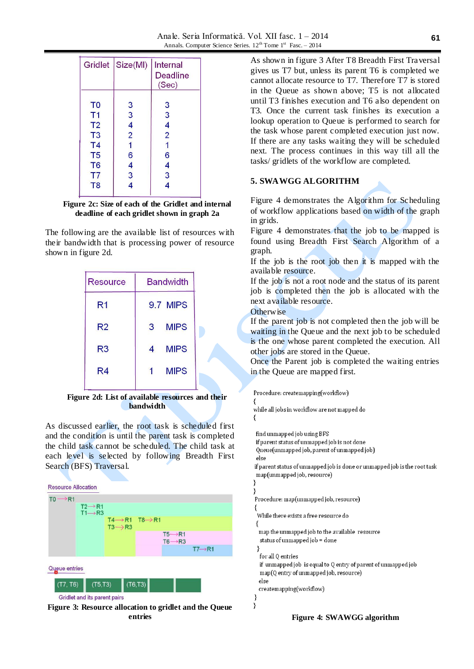|                | Gridlet Size(MI) | Internal<br>Deadline<br>(Sec) |  |
|----------------|------------------|-------------------------------|--|
| T <sub>0</sub> | 3                | 3                             |  |
| T1             | 3                | 3                             |  |
| T <sub>2</sub> | 4                | 4                             |  |
| T <sub>3</sub> | $\overline{2}$   | $\overline{2}$                |  |
| T <sub>4</sub> | 1                | 1                             |  |
| T <sub>5</sub> | 6                | 6                             |  |
| T <sub>6</sub> | 4                | 4                             |  |
| T7             | 3                | 3                             |  |

**Figure 2c: Size of each of the Gridlet and internal deadline of each gridlet shown in graph 2a**

The following are the available list of resources with their bandwidth that is processing power of resource shown in figure 2d.

| <b>Bandwidth</b> |  |  |
|------------------|--|--|
| 9.7 MIPS         |  |  |
| <b>MIPS</b><br>3 |  |  |
| <b>MIPS</b><br>4 |  |  |
| <b>MIPS</b><br>1 |  |  |
|                  |  |  |

**Figure 2d: List of available resources and their bandwidth**

As discussed earlier, the root task is scheduled first and the condition is until the parent task is completed the child task cannot be scheduled. The child task at each level is selected by following Breadth First Search (BFS) Traversal.

| <b>Resource Allocation</b> |                              |                                         |         |                     |                     |
|----------------------------|------------------------------|-----------------------------------------|---------|---------------------|---------------------|
| $TO \rightarrow R1$        |                              |                                         |         |                     |                     |
|                            | $T2 \rightarrow R1$          |                                         |         |                     |                     |
|                            | $T1 \rightarrow R3$          | $T4 \rightarrow R1$ $T8 \rightarrow R1$ |         |                     |                     |
|                            |                              | $T3 \rightarrow R3$                     |         |                     |                     |
|                            |                              |                                         |         | $T5 \rightarrow R1$ |                     |
|                            |                              |                                         |         | $T6 \rightarrow R3$ |                     |
|                            |                              |                                         |         |                     | $T7 \rightarrow R1$ |
|                            |                              |                                         |         |                     |                     |
| Queue entries              |                              |                                         |         |                     |                     |
|                            |                              |                                         |         |                     |                     |
| (T7, T6)                   | $(T5,\overline{T3})$         |                                         | (T6,T3) |                     |                     |
|                            | Gridlet and its parent pairs |                                         |         |                     |                     |
|                            |                              |                                         |         |                     |                     |

**Figure 3: Resource allocation to gridlet and the Queue entries**

As shown in figure 3 After T8 Breadth First Traversal gives us T7 but, unless its parent T6 is completed we cannot allocate resource to T7. Therefore T7 is stored in the Queue as shown above; T5 is not allocated until T3 finishes execution and T6 also dependent on T3. Once the current task finishes its execution a lookup operation to Queue is performed to search for the task whose parent completed execution just now. If there are any tasks waiting they will be scheduled next. The process continues in this way till all the tasks/ gridlets of the workflow are completed.

# **5. SWAWGG ALGORITHM**

Figure 4 demonstrates the Algorithm for Scheduling of workflow applications based on width of the graph in grids.

Figure 4 demonstrates that the job to be mapped is found using Breadth First Search Algorithm of a graph.

If the job is the root job then it is mapped with the available resource.

If the job is not a root node and the status of its parent job is completed then the job is allocated with the next available resource.

**Otherwise** 

If the parent job is not completed then the job will be waiting in the Queue and the next job to be scheduled is the one whose parent completed the execution. All other jobs are stored in the Queue.

Once the Parent job is completed the waiting entries in the Queue are mapped first.

Procedure: createmapping(workflow)

```
while all jobs in workflow are not mapped do
₹
```
find unmapped job using BFS

₹

```
if parent status of unmapped job is not done
```
Queue(unmapped job, parent of unmapped job) else

if parent status of unmapped job is done or unmapped job is the root task map(unmapped job, resource)

```
l,
Procedure: map(unmapped job, resource)
 While there exists a free resource do
 ₹
  map the unmapped job to the available resource
  status of unmapped job = done
  for all 0 entries
  if unmapped job is equal to Q entry of parent of unmapped job
  map(Q entry of unmapped job, resource)
  وام
  createmapping(workflow)
J
l,
```
**Figure 4: SWAWGG algorithm**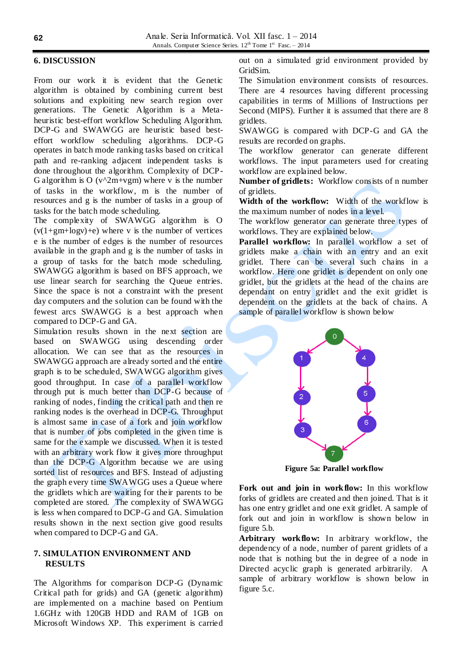#### **6. DISCUSSION**

From our work it is evident that the Genetic algorithm is obtained by combining current best solutions and exploiting new search region over generations. The Genetic Algorithm is a Metaheuristic best-effort workflow Scheduling Algorithm. DCP-G and SWAWGG are heuristic based besteffort workflow scheduling algorithms. DCP-G operates in batch mode ranking tasks based on critical path and re-ranking adjacent independent tasks is done throughout the algorithm. Complexity of DCP-G algorithm is O ( $v^2m+vgm$ ) where v is the number of tasks in the workflow, m is the number of resources and g is the number of tasks in a group of tasks for the batch mode scheduling.

The complexity of SWAWGG algorithm is O  $(v(1+gm+logv)+e)$  where v is the number of vertices e is the number of edges is the number of resources available in the graph and g is the number of tasks in a group of tasks for the batch mode scheduling. SWAWGG algorithm is based on BFS approach, we use linear search for searching the Queue entries. Since the space is not a constraint with the present day computers and the solution can be found with the fewest arcs SWAWGG is a best approach when compared to DCP-G and GA.

Simulation results shown in the next section are based on SWAWGG using descending order allocation. We can see that as the resources in SWAWGG approach are already sorted and the entire graph is to be scheduled, SWAWGG algorithm gives good throughput. In case of a parallel workflow through put is much better than DCP-G because of ranking of nodes, finding the critical path and then re ranking nodes is the overhead in DCP-G. Throughput is almost same in case of a fork and join workflow that is number of jobs completed in the given time is same for the example we discussed. When it is tested with an arbitrary work flow it gives more throughput than the DCP-G Algorithm because we are using sorted list of resources and BFS. Instead of adjusting the graph every time SWAWGG uses a Queue where the gridlets which are waiting for their parents to be completed are stored. The complexity of SWAWGG is less when compared to DCP-G and GA. Simulation results shown in the next section give good results when compared to DCP-G and GA.

# **7. SIMULATION ENVIRONMENT AND RESULTS**

The Algorithms for comparison DCP-G (Dynamic Critical path for grids) and GA (genetic algorithm) are implemented on a machine based on Pentium 1.6GHz with 120GB HDD and RAM of 1GB on Microsoft Windows XP. This experiment is carried

out on a simulated grid environment provided by GridSim.

The Simulation environment consists of resources. There are 4 resources having different processing capabilities in terms of Millions of Instructions per Second (MIPS). Further it is assumed that there are 8 gridlets.

SWAWGG is compared with DCP-G and GA the results are recorded on graphs.

The workflow generator can generate different workflows. The input parameters used for creating workflow are explained below.

**Number of gridlets:** Workflow consists of n number of gridlets.

**Width of the workflow:** Width of the workflow is the maximum number of nodes in a level.

The workflow generator can generate three types of workflows. They are explained below.

**Parallel workflow:** In parallel workflow a set of gridlets make a chain with an entry and an exit gridlet. There can be several such chains in a workflow. Here one gridlet is dependent on only one gridlet, but the gridlets at the head of the chains are dependant on entry gridlet and the exit gridlet is dependent on the gridlets at the back of chains. A sample of parallel workflow is shown below



**Figure 5a: Parallel workflow**

**Fork out and join in workflow:** In this workflow forks of gridlets are created and then joined. That is it has one entry gridlet and one exit gridlet. A sample of fork out and join in workflow is shown below in figure 5.b.

**Arbitrary workflow:** In arbitrary workflow, the dependency of a node, number of parent gridlets of a node that is nothing but the in degree of a node in Directed acyclic graph is generated arbitrarily. A sample of arbitrary workflow is shown below in figure 5.c.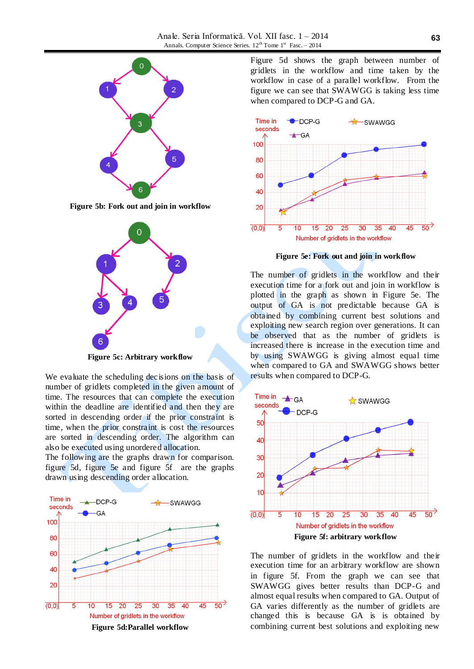

**Figure 5b: Fork out and join in workflow**



**Figure 5c: Arbitrary workflow**

We evaluate the scheduling decisions on the basis of number of gridlets completed in the given amount of time. The resources that can complete the execution within the deadline are identified and then they are sorted in descending order if the prior constraint is time, when the prior constraint is cost the resources are sorted in descending order. The algorithm can also be executed using unordered allocation.

The following are the graphs drawn for comparison. figure 5d, figure 5e and figure 5f are the graphs drawn using descending order allocation.



Figure 5d shows the graph between number of gridlets in the workflow and time taken by the workflow in case of a parallel workflow. From the figure we can see that SWAWGG is taking less time when compared to DCP-G and GA.



**Figure 5e: Fork out and join in workflow**

The number of gridlets in the workflow and their execution time for a fork out and join in workflow is plotted in the graph as shown in Figure 5e. The output of GA is not predictable because GA is obtained by combining current best solutions and exploiting new search region over generations. It can be observed that as the number of gridlets is increased there is increase in the execution time and by using SWAWGG is giving almost equal time when compared to GA and SWAWGG shows better results when compared to DCP-G.



The number of gridlets in the workflow and their execution time for an arbitrary workflow are shown in figure 5f. From the graph we can see that SWAWGG gives better results than DCP-G and almost equal results when compared to GA. Output of GA varies differently as the number of gridlets are changed this is because GA is is obtained by combining current best solutions and exploiting new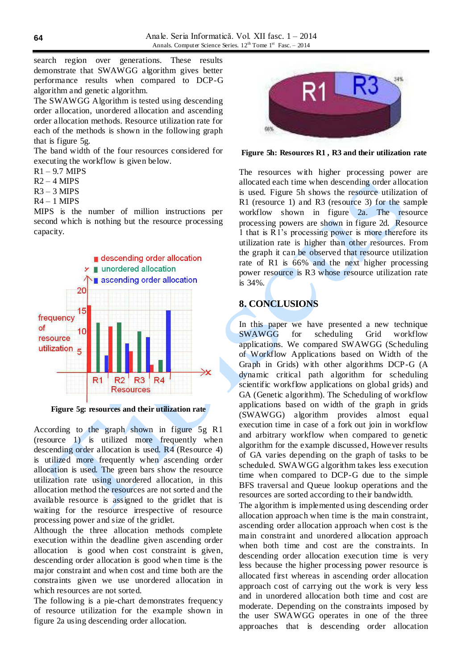search region over generations. These results demonstrate that SWAWGG algorithm gives better performance results when compared to DCP-G algorithm and genetic algorithm.

The SWAWGG Algorithm is tested using descending order allocation, unordered allocation and ascending order allocation methods. Resource utilization rate for each of the methods is shown in the following graph that is figure 5g.

The band width of the four resources considered for executing the workflow is given below.

- $R1 9.7$  MIPS
- $R2 4$  MIPS
- $R3 3$  MIPS
- $R4 1$  MIPS

MIPS is the number of million instructions per second which is nothing but the resource processing capacity.



**Figure 5g: resources and their utilization rate**

According to the graph shown in figure 5g R1 (resource 1) is utilized more frequently when descending order allocation is used. R4 (Resource 4) is utilized more frequently when ascending order allocation is used. The green bars show the resource utilization rate using unordered allocation, in this allocation method the resources are not sorted and the available resource is assigned to the gridlet that is waiting for the resource irrespective of resource processing power and size of the gridlet.

Although the three allocation methods complete execution within the deadline given ascending order allocation is good when cost constraint is given, descending order allocation is good when time is the major constraint and when cost and time both are the constraints given we use unordered allocation in which resources are not sorted.

The following is a pie-chart demonstrates frequency of resource utilization for the example shown in figure 2a using descending order allocation.



**Figure 5h: Resources R1 , R3 and their utilization rate**

The resources with higher processing power are allocated each time when descending order allocation is used. Figure 5h shows the resource utilization of R1 (resource 1) and R3 (resource 3) for the sample workflow shown in figure 2a. The resource processing powers are shown in figure 2d. Resource 1 that is R1's processing power is more therefore its utilization rate is higher than other resources. From the graph it can be observed that resource utilization rate of R1 is 66% and the next higher processing power resource is R3 whose resource utilization rate is 34%.

# **8. CONCLUSIONS**

In this paper we have presented a new technique SWAWGG for scheduling Grid workflow applications. We compared SWAWGG (Scheduling of Workflow Applications based on Width of the Graph in Grids) with other algorithms DCP-G (A dynamic critical path algorithm for scheduling scientific workflow applications on global grids) and GA (Genetic algorithm). The Scheduling of workflow applications based on width of the graph in grids (SWAWGG) algorithm provides almost equal execution time in case of a fork out join in workflow and arbitrary workflow when compared to genetic algorithm for the example discussed, However results of GA varies depending on the graph of tasks to be scheduled. SWAWGG algorithm takes less execution time when compared to DCP-G due to the simple BFS traversal and Queue lookup operations and the resources are sorted according to their bandwidth.

The algorithm is implemented using descending order allocation approach when time is the main constraint, ascending order allocation approach when cost is the main constraint and unordered allocation approach when both time and cost are the constraints. In descending order allocation execution time is very less because the higher processing power resource is allocated first whereas in ascending order allocation approach cost of carrying out the work is very less and in unordered allocation both time and cost are moderate. Depending on the constraints imposed by the user SWAWGG operates in one of the three approaches that is descending order allocation